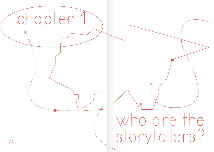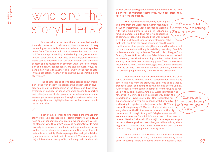## who are the  $\begin{array}{c|c|c|c|c|c|c|c|c} \hline \rule{0pt}{1ex} \rule{0pt}{1ex} \rule{0pt}{1ex} \rule{0pt}{1ex} \rule{0pt}{1ex} \rule{0pt}{1ex} \rule{0pt}{1ex} \rule{0pt}{1ex} \rule{0pt}{1ex} \rule{0pt}{1ex} \rule{0pt}{1ex} \rule{0pt}{1ex} \rule{0pt}{1ex} \rule{0pt}{1ex} \rule{0pt}{1ex} \rule{0pt}{1ex} \rule{0pt}{1ex} \rule{0pt}{1ex} \rule{0pt}{1ex} \rule{0pt}{1ex} \rule{0pt}{1ex} \rule{0pt$

Stories, whether written, filmed or recorded, are intimately connected to their tellers. How stories are told vary depending on who tells them, and where these storytellers come from. The same topic can be researched and narrated in different ways depending on the background, experiences, gender, class and other identities of the storyteller. The same place can be observed from different angles, and the same context can be related to in different ways. Stories of migration and mobility, consequently, are told in several ways, depending on who is the author. This is why, in the first chapter in this publication, we start by asking the question: Who is the storyteller?

The chapter looks at who tells stories about migration in the world today. It describes the impact lack of diversity has on our understanding of the topic, and how power dynamics in society influence who gets access to reporting and telling stories. It also points to the value of experiential knowledge, knowledge gained through experience, when covering migration and highlights how self-reflection can lead to better narration.

First of all, in order to understand the impact that storytellers like journalists or communicators with NGOs have on our conception of migration, we must start by looking closer at who they are. We may be heading towards more diversity in newsrooms, academia and organisations, but we are far from a balance in representation. Stories still tend to be told from a mainly Western perspective and get published by outlets based in that part of the world. The same goes for major international non-profits, including their funders. Migration stories are regularly told by people who lack the lived experience of migration themselves. Much too often, they 'look in from the outside.'

This issue was addressed by several participants from the workshops. Samih Mahmoud, a Syrian-Palestinian video journalist working with the online platform Campji in Lebanon's refugee camps, said that his own experience of being a refugee who escaped the war in Syria gives him a different kind of understanding. "The fact that I am from the area I cover and face the same conditions as other people living there means that whenever I tell a story about something, I also tell my own story. People's problems are also my problems," he said. His colleague from Campji, Rayan Sukkar, who is a Palestinian born and raised in Lebanon, described something similar: "When I started working here, I felt that this was my place. That I can express myself here, and transmit messages better than someone from the outside." Her insider position, she said, allows her to "present people the way they like to be presented."

Mahmoud and Sukkar produce videos that are published online and watched by both camp residents and many others. The idea from the start, they said, was to be a locally grounded voice, something that was missing before Campji. "Our slogan is 'from camp to camp' or 'from refugee to refugee,'" they said. Fatima Alhaji, a Syrian journalist who now lives in Berlin, spoke in a similar way about the importance of lived knowledge. She recounted her experience when arriving in Lebanon with her family, and having to register as refugees with the UN. "This was at the beginning of 2014, so refugee stories were everywhere. At the UN there was a journalist with a big camera, and I thought to myself: 'Maybe someone will see me on television' and I didn't want that. I didn't want to be seen like that," she said. For Alhaji, these experiences put her in a different position than other journalists writing about migration: "I have the tools to tell these stories, and I can tell them in a way that people can identify with."

26 27 better reporting. There are cases where an outsider's view While personal experiences give an intimate understanding of the topic at hand, it does not necessarily mean

a story about something,  $\mathcal I$  also tell my own story.<sup>5</sup>

> "Our slogan is 'from camp to camp' or 'from refugee to refugee.'"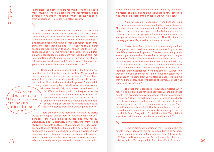new routes to<br>narrating migration narrating migration new routes to

is important, and others where reporting from 'the inside' is more valuable. The main problem with conventional media coverage on migration is that the former – people who speak from experience – is much too often absent.

 $\times$ 

Other kinds of direct understandings of a certain reality also have an impact on the produced narratives. Jelena Dzekseneva, an anthropologist who moved from Kazakhstan to France to study, spoke about the differences in perspective between people who have personal experiences of something and those that have not. "Not everyone realises that anyone can become poor, that anyone can lose their house. These ideas do not come naturally to people," she said. People who experienced displacement first-hand, she said, may have a better understanding not only of migration but of other difficulties people face as well: "They can empathise with migrants, and maybe they understand poverty too."

Shehrazad Siraj, a student and writer from France, said that the fact that her parents are from Morocco allows her to easily spot stereotypes in the media. "Since I was young, I have seen racism displayed on French TV towards people from North Africa and Africa in general," she said. In many cases, this applies to Muslims too, not least women who wear the veil. "My mum wears the veil, so for me it's difficult to identify with the images in the media." Therefore, Siraj said, writing from our own perspectives is important: "We have to tell our own stories. We cannot just have allies and other people telling our stories. All minorities have to tell their own stories from their unique point of view." "We have to tell our own stories. We cannot just have people telling our

 $28\,$  ed on me, as did growing up in a weird time of transformation  $29\,$  Lebanon said, "We can get a lot of positive effects from such  $29\,$ There are ways to be more aware of how the stories we tell are shaped. One of them is to acknowledge our positionality – the way socio-political identities influence our worldviews. Inga Hajdarowicz, a PhD researcher from Poland studying grassroots and feminist approaches to refugee women, said that she started to think like this early on in her life. "Spending time at my grandparents' place in a working-class neighbourhood, attending feminist meetings and doing research trips with my mother, who is also a sociologist, impacted on me, as did growing up in a weird time of transformation

in post-communist Poland and learning about my own family's history of migration and exile. It all shaped how I could see who was being represented or heard and who was not."

Nour Ghoussaini, a journalist from Lebanon, said that her own experiences also impacted her way of thinking. At one point, she said, she realised that she had internalised racism: "I never knew I was racist, really. But sometimes, incidents or stories that people tell you, movies you watch or your parents' stereotypes, influence you. All of this impacts the way you see life, whether you want it or not."

Sukkar from Campji said that experiencing one kind of migration could lead to a deeper understanding of other people's experiences in general. She recounts being interviewed by someone who, like her, had a background of migration in their family: "This was the first time I felt comfortable in an interview with a foreigner. I felt that he wanted to listen, not extract information. I felt that he understood me. I think this is because he has a migration experience of his own." Although their experiences were not similar, Sukkar said that there was a connection: "I didn't have to explain much even though we come from very different places. He told me that he himself struggles with issues of identity, so that was something we shared."

The fact that experiential knowledge matters when reporting on migration is not to be confused with the idea that people who are migrants by default can tell stories about all kinds of migration – or that they should tell stories about only that. It is not uncommon that people with one kind of migration background are asked to comment on other topics. "People in France sometimes think that because I come from Morocco, I should be able to know what is happening in Iran or the Middle East," Siraj said, "So I tell them that, 'Sorry I don't know Iran, I don't even know Morocco well enough.'"

Some participants mentioned that it is important for people from refugee and migrant communities to be authors, not just subjects, of journalistic stories. Doha Adi from the NGO Sawa for Development and Aid that supports refugees in

allies and other

stories.<sup>9</sup>